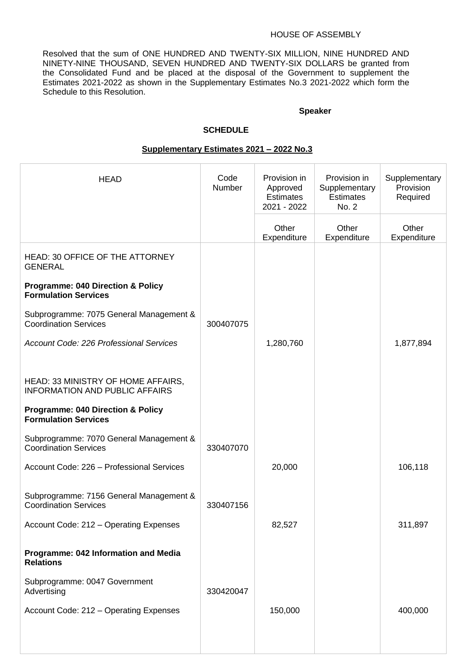#### HOUSE OF ASSEMBLY

Resolved that the sum of ONE HUNDRED AND TWENTY-SIX MILLION, NINE HUNDRED AND NINETY-NINE THOUSAND, SEVEN HUNDRED AND TWENTY-SIX DOLLARS be granted from the Consolidated Fund and be placed at the disposal of the Government to supplement the Estimates 2021-2022 as shown in the Supplementary Estimates No.3 2021-2022 which form the Schedule to this Resolution.

#### **Speaker**

#### **SCHEDULE**

#### **Supplementary Estimates 2021 – 2022 No.3**

| <b>HEAD</b>                                                                 | Code<br>Number | Provision in<br>Approved<br><b>Estimates</b><br>2021 - 2022 | Provision in<br>Supplementary<br><b>Estimates</b><br>No. 2 | Supplementary<br>Provision<br>Required |
|-----------------------------------------------------------------------------|----------------|-------------------------------------------------------------|------------------------------------------------------------|----------------------------------------|
|                                                                             |                | Other<br>Expenditure                                        | Other<br>Expenditure                                       | Other<br>Expenditure                   |
| <b>HEAD: 30 OFFICE OF THE ATTORNEY</b><br><b>GENERAL</b>                    |                |                                                             |                                                            |                                        |
| <b>Programme: 040 Direction &amp; Policy</b><br><b>Formulation Services</b> |                |                                                             |                                                            |                                        |
| Subprogramme: 7075 General Management &<br><b>Coordination Services</b>     | 300407075      |                                                             |                                                            |                                        |
| <b>Account Code: 226 Professional Services</b>                              |                | 1,280,760                                                   |                                                            | 1,877,894                              |
| HEAD: 33 MINISTRY OF HOME AFFAIRS,<br><b>INFORMATION AND PUBLIC AFFAIRS</b> |                |                                                             |                                                            |                                        |
| <b>Programme: 040 Direction &amp; Policy</b><br><b>Formulation Services</b> |                |                                                             |                                                            |                                        |
| Subprogramme: 7070 General Management &<br><b>Coordination Services</b>     | 330407070      |                                                             |                                                            |                                        |
| Account Code: 226 - Professional Services                                   |                | 20,000                                                      |                                                            | 106,118                                |
| Subprogramme: 7156 General Management &<br><b>Coordination Services</b>     | 330407156      |                                                             |                                                            |                                        |
| Account Code: 212 - Operating Expenses                                      |                | 82,527                                                      |                                                            | 311,897                                |
| Programme: 042 Information and Media<br><b>Relations</b>                    |                |                                                             |                                                            |                                        |
| Subprogramme: 0047 Government<br>Advertising                                | 330420047      |                                                             |                                                            |                                        |
| Account Code: 212 - Operating Expenses                                      |                | 150,000                                                     |                                                            | 400,000                                |
|                                                                             |                |                                                             |                                                            |                                        |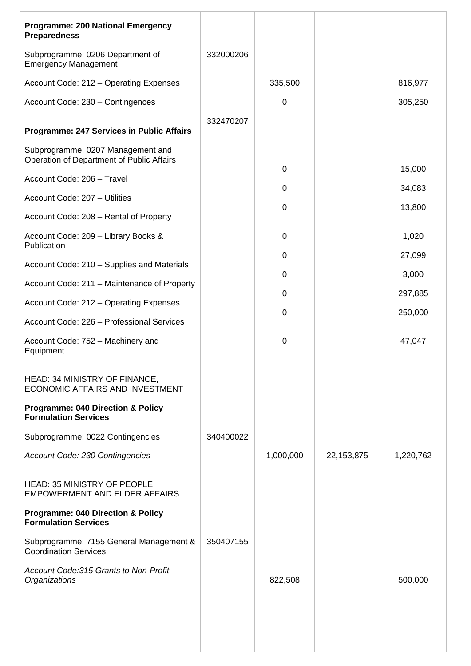| <b>Programme: 200 National Emergency</b><br><b>Preparedness</b>                |           |             |            |           |
|--------------------------------------------------------------------------------|-----------|-------------|------------|-----------|
| Subprogramme: 0206 Department of<br><b>Emergency Management</b>                | 332000206 |             |            |           |
| Account Code: 212 - Operating Expenses                                         |           | 335,500     |            | 816,977   |
| Account Code: 230 - Contingences                                               |           | 0           |            | 305,250   |
| <b>Programme: 247 Services in Public Affairs</b>                               | 332470207 |             |            |           |
| Subprogramme: 0207 Management and<br>Operation of Department of Public Affairs |           | $\mathbf 0$ |            | 15,000    |
| Account Code: 206 - Travel                                                     |           | 0           |            | 34,083    |
| Account Code: 207 - Utilities                                                  |           | $\mathbf 0$ |            | 13,800    |
| Account Code: 208 - Rental of Property                                         |           |             |            |           |
| Account Code: 209 - Library Books &<br>Publication                             |           | 0           |            | 1,020     |
| Account Code: 210 - Supplies and Materials                                     |           | 0           |            | 27,099    |
| Account Code: 211 - Maintenance of Property                                    |           | 0           |            | 3,000     |
| Account Code: 212 - Operating Expenses                                         |           | 0           |            | 297,885   |
| Account Code: 226 - Professional Services                                      |           | 0           |            | 250,000   |
| Account Code: 752 - Machinery and<br>Equipment                                 |           | 0           |            | 47,047    |
| HEAD: 34 MINISTRY OF FINANCE,<br>ECONOMIC AFFAIRS AND INVESTMENT               |           |             |            |           |
| <b>Programme: 040 Direction &amp; Policy</b><br><b>Formulation Services</b>    |           |             |            |           |
| Subprogramme: 0022 Contingencies                                               | 340400022 |             |            |           |
| Account Code: 230 Contingencies                                                |           | 1,000,000   | 22,153,875 | 1,220,762 |
| <b>HEAD: 35 MINISTRY OF PEOPLE</b><br><b>EMPOWERMENT AND ELDER AFFAIRS</b>     |           |             |            |           |
| <b>Programme: 040 Direction &amp; Policy</b><br><b>Formulation Services</b>    |           |             |            |           |
| Subprogramme: 7155 General Management &<br><b>Coordination Services</b>        | 350407155 |             |            |           |
| Account Code: 315 Grants to Non-Profit<br>Organizations                        |           | 822,508     |            | 500,000   |
|                                                                                |           |             |            |           |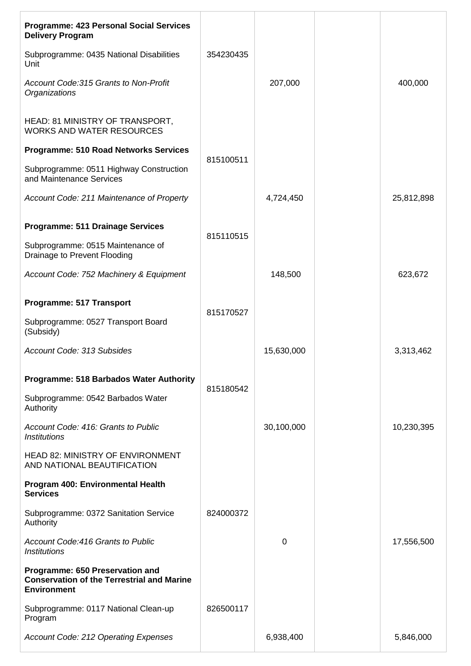| <b>Programme: 423 Personal Social Services</b><br><b>Delivery Program</b>                                  |           |            |            |
|------------------------------------------------------------------------------------------------------------|-----------|------------|------------|
| Subprogramme: 0435 National Disabilities<br>Unit                                                           | 354230435 |            |            |
| Account Code: 315 Grants to Non-Profit<br>Organizations                                                    |           | 207,000    | 400,000    |
| HEAD: 81 MINISTRY OF TRANSPORT,<br><b>WORKS AND WATER RESOURCES</b>                                        |           |            |            |
| <b>Programme: 510 Road Networks Services</b>                                                               |           |            |            |
| Subprogramme: 0511 Highway Construction<br>and Maintenance Services                                        | 815100511 |            |            |
| Account Code: 211 Maintenance of Property                                                                  |           | 4,724,450  | 25,812,898 |
| <b>Programme: 511 Drainage Services</b>                                                                    |           |            |            |
| Subprogramme: 0515 Maintenance of<br>Drainage to Prevent Flooding                                          | 815110515 |            |            |
| Account Code: 752 Machinery & Equipment                                                                    |           | 148,500    | 623,672    |
| Programme: 517 Transport                                                                                   |           |            |            |
| Subprogramme: 0527 Transport Board<br>(Subsidy)                                                            | 815170527 |            |            |
| Account Code: 313 Subsides                                                                                 |           | 15,630,000 | 3,313,462  |
| Programme: 518 Barbados Water Authority                                                                    |           |            |            |
| Subprogramme: 0542 Barbados Water<br>Authority                                                             | 815180542 |            |            |
| Account Code: 416: Grants to Public<br><b>Institutions</b>                                                 |           | 30,100,000 | 10,230,395 |
| <b>HEAD 82: MINISTRY OF ENVIRONMENT</b><br>AND NATIONAL BEAUTIFICATION                                     |           |            |            |
| Program 400: Environmental Health<br><b>Services</b>                                                       |           |            |            |
| Subprogramme: 0372 Sanitation Service<br>Authority                                                         | 824000372 |            |            |
| Account Code: 416 Grants to Public<br><i><b>Institutions</b></i>                                           |           | 0          | 17,556,500 |
| Programme: 650 Preservation and<br><b>Conservation of the Terrestrial and Marine</b><br><b>Environment</b> |           |            |            |
| Subprogramme: 0117 National Clean-up<br>Program                                                            | 826500117 |            |            |
| <b>Account Code: 212 Operating Expenses</b>                                                                |           | 6,938,400  | 5,846,000  |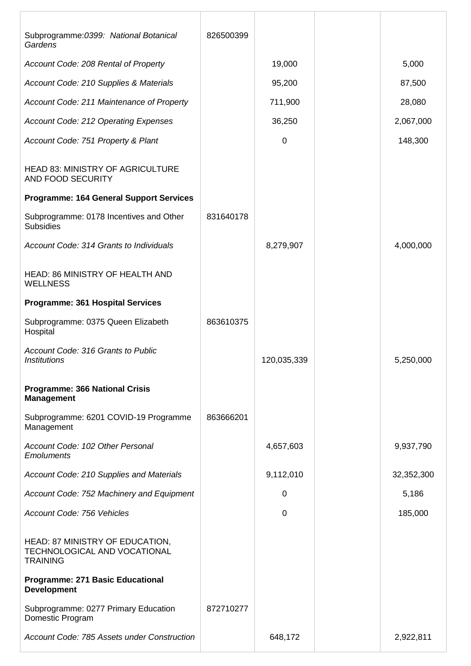| Subprogramme: 0399: National Botanical<br>Gardens                                  | 826500399 |             |            |
|------------------------------------------------------------------------------------|-----------|-------------|------------|
| Account Code: 208 Rental of Property                                               |           | 19,000      | 5,000      |
| Account Code: 210 Supplies & Materials                                             |           | 95,200      | 87,500     |
| Account Code: 211 Maintenance of Property                                          |           | 711,900     | 28,080     |
| Account Code: 212 Operating Expenses                                               |           | 36,250      | 2,067,000  |
| Account Code: 751 Property & Plant                                                 |           | $\mathbf 0$ | 148,300    |
| HEAD 83: MINISTRY OF AGRICULTURE<br>AND FOOD SECURITY                              |           |             |            |
| <b>Programme: 164 General Support Services</b>                                     |           |             |            |
| Subprogramme: 0178 Incentives and Other<br><b>Subsidies</b>                        | 831640178 |             |            |
| Account Code: 314 Grants to Individuals                                            |           | 8,279,907   | 4,000,000  |
| <b>HEAD: 86 MINISTRY OF HEALTH AND</b><br><b>WELLNESS</b>                          |           |             |            |
| <b>Programme: 361 Hospital Services</b>                                            |           |             |            |
| Subprogramme: 0375 Queen Elizabeth<br>Hospital                                     | 863610375 |             |            |
| Account Code: 316 Grants to Public<br><i><b>Institutions</b></i>                   |           | 120,035,339 | 5,250,000  |
| <b>Programme: 366 National Crisis</b><br><b>Management</b>                         |           |             |            |
| Subprogramme: 6201 COVID-19 Programme<br>Management                                | 863666201 |             |            |
| Account Code: 102 Other Personal<br><b>Emoluments</b>                              |           | 4,657,603   | 9,937,790  |
| Account Code: 210 Supplies and Materials                                           |           | 9,112,010   | 32,352,300 |
| Account Code: 752 Machinery and Equipment                                          |           | 0           | 5,186      |
| Account Code: 756 Vehicles                                                         |           | 0           | 185,000    |
| HEAD: 87 MINISTRY OF EDUCATION,<br>TECHNOLOGICAL AND VOCATIONAL<br><b>TRAINING</b> |           |             |            |
| <b>Programme: 271 Basic Educational</b><br><b>Development</b>                      |           |             |            |
| Subprogramme: 0277 Primary Education<br>Domestic Program                           | 872710277 |             |            |
| Account Code: 785 Assets under Construction                                        |           | 648,172     | 2,922,811  |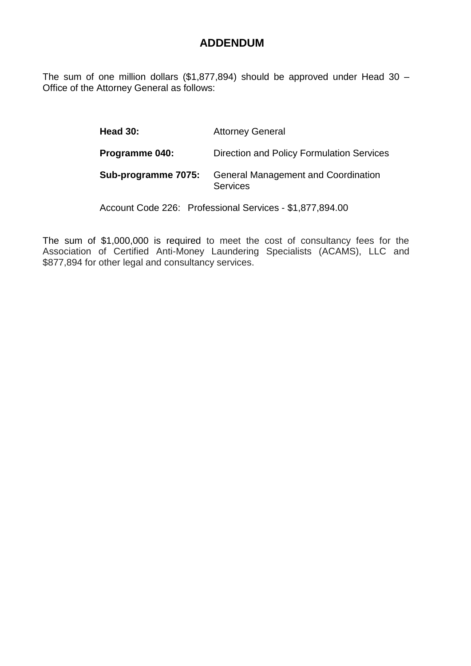The sum of one million dollars (\$1,877,894) should be approved under Head 30 – Office of the Attorney General as follows:

| Head 30:            | <b>Attorney General</b>                                       |
|---------------------|---------------------------------------------------------------|
| Programme 040:      | Direction and Policy Formulation Services                     |
| Sub-programme 7075: | <b>General Management and Coordination</b><br><b>Services</b> |
|                     |                                                               |

Account Code 226: Professional Services - \$1,877,894.00

The sum of \$1,000,000 is required to meet the cost of consultancy fees for the Association of Certified Anti-Money Laundering Specialists (ACAMS), LLC and \$877,894 for other legal and consultancy services.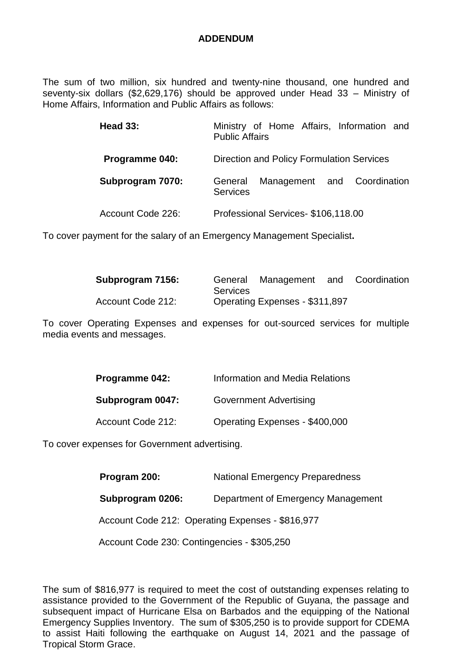The sum of two million, six hundred and twenty-nine thousand, one hundred and seventy-six dollars (\$2,629,176) should be approved under Head 33 – Ministry of Home Affairs, Information and Public Affairs as follows:

| Head $33:$        | Ministry of Home Affairs, Information and<br><b>Public Affairs</b> |
|-------------------|--------------------------------------------------------------------|
| Programme 040:    | Direction and Policy Formulation Services                          |
| Subprogram 7070:  | Management and Coordination<br>General<br><b>Services</b>          |
| Account Code 226: | Professional Services- \$106,118.00                                |

To cover payment for the salary of an Emergency Management Specialist**.** 

| Subprogram 7156:  | General         | Management and Coordination    |  |
|-------------------|-----------------|--------------------------------|--|
|                   | <b>Services</b> |                                |  |
| Account Code 212: |                 | Operating Expenses - \$311,897 |  |

To cover Operating Expenses and expenses for out-sourced services for multiple media events and messages.

| <b>Programme 042:</b> | Information and Media Relations |
|-----------------------|---------------------------------|
| Subprogram 0047:      | <b>Government Advertising</b>   |
| Account Code 212:     | Operating Expenses - \$400,000  |

To cover expenses for Government advertising.

| Program 200:                                     | <b>National Emergency Preparedness</b> |  |
|--------------------------------------------------|----------------------------------------|--|
| Subprogram 0206:                                 | Department of Emergency Management     |  |
| Account Code 212: Operating Expenses - \$816,977 |                                        |  |
| Account Code 230: Contingencies - \$305,250      |                                        |  |

The sum of \$816,977 is required to meet the cost of outstanding expenses relating to assistance provided to the Government of the Republic of Guyana, the passage and subsequent impact of Hurricane Elsa on Barbados and the equipping of the National Emergency Supplies Inventory. The sum of \$305,250 is to provide support for CDEMA to assist Haiti following the earthquake on August 14, 2021 and the passage of Tropical Storm Grace.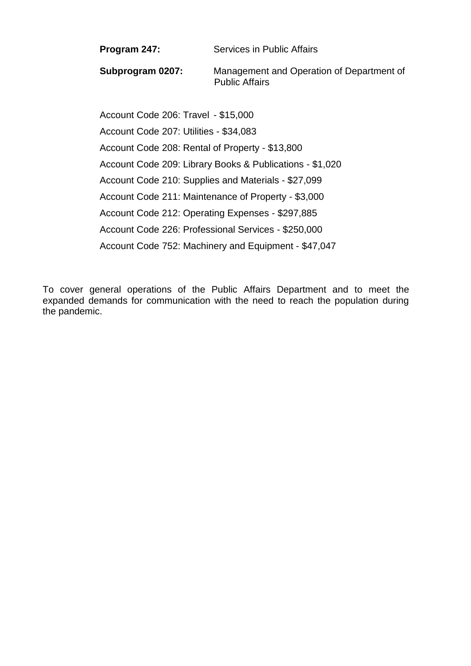| Program 247:     | Services in Public Affairs                                         |
|------------------|--------------------------------------------------------------------|
| Subprogram 0207: | Management and Operation of Department of<br><b>Public Affairs</b> |

Account Code 206: Travel - \$15,000 Account Code 207: Utilities - \$34,083 Account Code 208: Rental of Property - \$13,800 Account Code 209: Library Books & Publications - \$1,020 Account Code 210: Supplies and Materials - \$27,099 Account Code 211: Maintenance of Property - \$3,000 Account Code 212: Operating Expenses - \$297,885 Account Code 226: Professional Services - \$250,000 Account Code 752: Machinery and Equipment - \$47,047

To cover general operations of the Public Affairs Department and to meet the expanded demands for communication with the need to reach the population during the pandemic.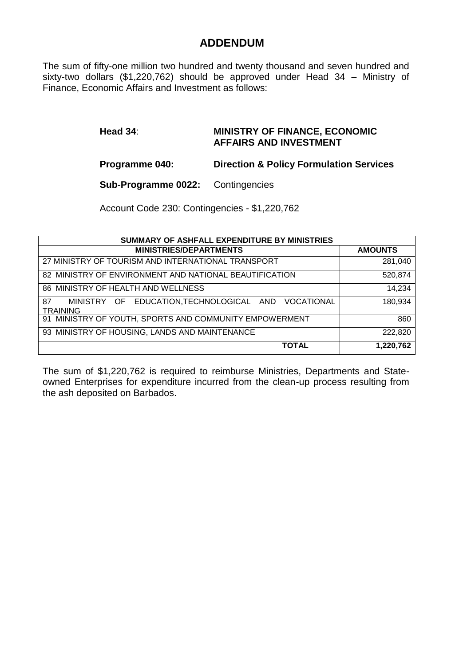The sum of fifty-one million two hundred and twenty thousand and seven hundred and sixty-two dollars (\$1,220,762) should be approved under Head 34 – Ministry of Finance, Economic Affairs and Investment as follows:

## **Head 34**: **MINISTRY OF FINANCE, ECONOMIC AFFAIRS AND INVESTMENT**

**Programme 040: Direction & Policy Formulation Services**

 **Sub-Programme 0022:** Contingencies

Account Code 230: Contingencies - \$1,220,762

| SUMMARY OF ASHFALL EXPENDITURE BY MINISTRIES                                 |                |  |
|------------------------------------------------------------------------------|----------------|--|
| <b>MINISTRIES/DEPARTMENTS</b>                                                | <b>AMOUNTS</b> |  |
| 27 MINISTRY OF TOURISM AND INTERNATIONAL TRANSPORT                           | 281,040        |  |
| 82 MINISTRY OF ENVIRONMENT AND NATIONAL BEAUTIFICATION                       | 520,874        |  |
| 86 MINISTRY OF HEALTH AND WELLNESS                                           | 14,234         |  |
| 87<br>MINISTRY OF EDUCATION, TECHNOLOGICAL AND VOCATIONAL<br><b>TRAINING</b> | 180,934        |  |
| 91 MINISTRY OF YOUTH, SPORTS AND COMMUNITY EMPOWERMENT                       | 860            |  |
| 93 MINISTRY OF HOUSING, LANDS AND MAINTENANCE                                | 222,820        |  |
| <b>TOTAL</b>                                                                 | 1,220,762      |  |

The sum of \$1,220,762 is required to reimburse Ministries, Departments and Stateowned Enterprises for expenditure incurred from the clean-up process resulting from the ash deposited on Barbados.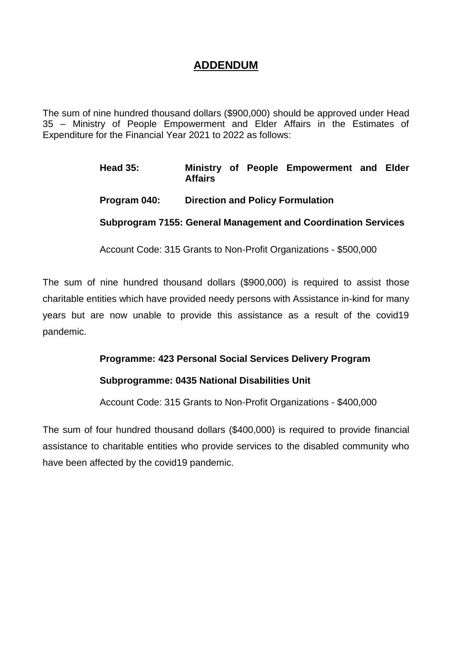The sum of nine hundred thousand dollars (\$900,000) should be approved under Head 35 – Ministry of People Empowerment and Elder Affairs in the Estimates of Expenditure for the Financial Year 2021 to 2022 as follows:

## **Head 35: Ministry of People Empowerment and Elder Affairs**

### **Program 040: Direction and Policy Formulation**

**Subprogram 7155: General Management and Coordination Services**

Account Code: 315 Grants to Non-Profit Organizations - \$500,000

The sum of nine hundred thousand dollars (\$900,000) is required to assist those charitable entities which have provided needy persons with Assistance in-kind for many years but are now unable to provide this assistance as a result of the covid19 pandemic.

## **Programme: 423 Personal Social Services Delivery Program**

#### **Subprogramme: 0435 National Disabilities Unit**

Account Code: 315 Grants to Non-Profit Organizations - \$400,000

The sum of four hundred thousand dollars (\$400,000) is required to provide financial assistance to charitable entities who provide services to the disabled community who have been affected by the covid19 pandemic.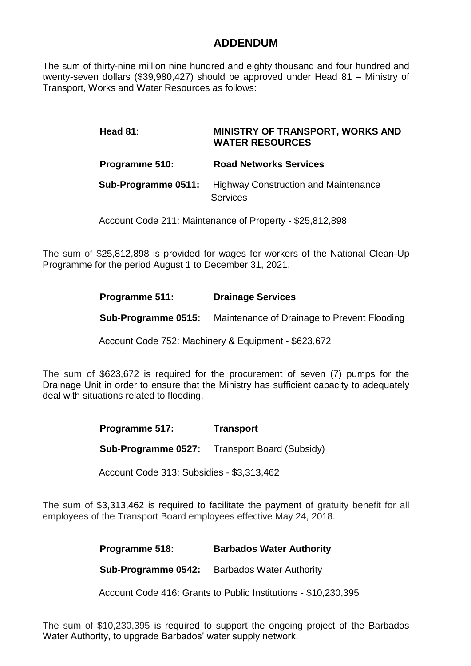The sum of thirty-nine million nine hundred and eighty thousand and four hundred and twenty-seven dollars (\$39,980,427) should be approved under Head 81 – Ministry of Transport, Works and Water Resources as follows:

| Head $81$ :                                              | MINISTRY OF TRANSPORT, WORKS AND<br><b>WATER RESOURCES</b>     |  |
|----------------------------------------------------------|----------------------------------------------------------------|--|
| Programme 510:                                           | <b>Road Networks Services</b>                                  |  |
| Sub-Programme 0511:                                      | <b>Highway Construction and Maintenance</b><br><b>Services</b> |  |
| Account Code 211: Maintenance of Property - \$25,812,898 |                                                                |  |

The sum of \$25,812,898 is provided for wages for workers of the National Clean-Up Programme for the period August 1 to December 31, 2021.

| <b>Programme 511:</b> | <b>Drainage Services</b>                    |
|-----------------------|---------------------------------------------|
| Sub-Programme 0515:   | Maintenance of Drainage to Prevent Flooding |

Account Code 752: Machinery & Equipment - \$623,672

The sum of \$623,672 is required for the procurement of seven (7) pumps for the Drainage Unit in order to ensure that the Ministry has sufficient capacity to adequately deal with situations related to flooding.

> **Programme 517: Transport Sub-Programme 0527:** Transport Board (Subsidy)

Account Code 313: Subsidies - \$3,313,462

The sum of \$3,313,462 is required to facilitate the payment of gratuity benefit for all employees of the Transport Board employees effective May 24, 2018.

**Programme 518: Barbados Water Authority**

 **Sub-Programme 0542:** Barbados Water Authority

Account Code 416: Grants to Public Institutions - \$10,230,395

The sum of \$10,230,395 is required to support the ongoing project of the Barbados Water Authority, to upgrade Barbados' water supply network.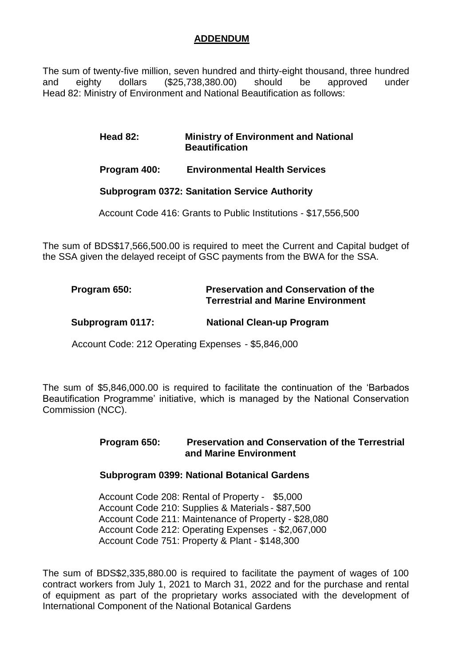The sum of twenty-five million, seven hundred and thirty-eight thousand, three hundred and eighty dollars (\$25,738,380.00) should be approved under Head 82: Ministry of Environment and National Beautification as follows:

### **Head 82: Ministry of Environment and National Beautification**

### **Program 400: Environmental Health Services**

#### **Subprogram 0372: Sanitation Service Authority**

Account Code 416: Grants to Public Institutions - \$17,556,500

The sum of BDS\$17,566,500.00 is required to meet the Current and Capital budget of the SSA given the delayed receipt of GSC payments from the BWA for the SSA.

| Program 650:     | <b>Preservation and Conservation of the</b><br><b>Terrestrial and Marine Environment</b> |
|------------------|------------------------------------------------------------------------------------------|
| Subprogram 0117: | <b>National Clean-up Program</b>                                                         |

Account Code: 212 Operating Expenses - \$5,846,000

The sum of \$5,846,000.00 is required to facilitate the continuation of the 'Barbados Beautification Programme' initiative, which is managed by the National Conservation Commission (NCC).

#### **Program 650: Preservation and Conservation of the Terrestrial and Marine Environment**

#### **Subprogram 0399: National Botanical Gardens**

Account Code 208: Rental of Property - \$5,000 Account Code 210: Supplies & Materials - \$87,500 Account Code 211: Maintenance of Property - \$28,080 Account Code 212: Operating Expenses - \$2,067,000 Account Code 751: Property & Plant - \$148,300

The sum of BDS\$2,335,880.00 is required to facilitate the payment of wages of 100 contract workers from July 1, 2021 to March 31, 2022 and for the purchase and rental of equipment as part of the proprietary works associated with the development of International Component of the National Botanical Gardens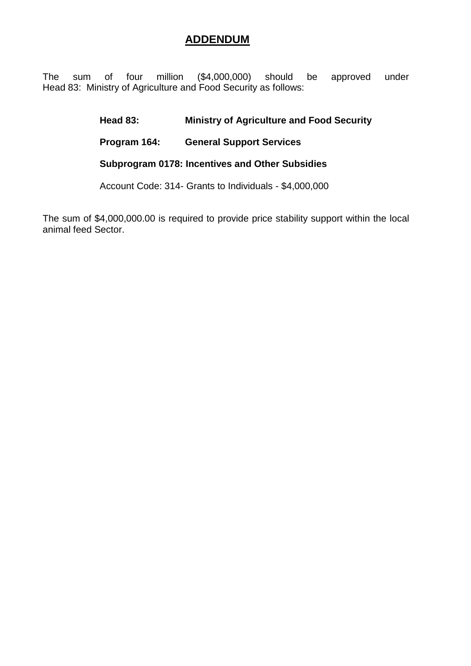The sum of four million (\$4,000,000) should be approved under Head 83: Ministry of Agriculture and Food Security as follows:

## **Head 83: Ministry of Agriculture and Food Security**

## **Program 164: General Support Services**

## **Subprogram 0178: Incentives and Other Subsidies**

Account Code: 314- Grants to Individuals - \$4,000,000

The sum of \$4,000,000.00 is required to provide price stability support within the local animal feed Sector.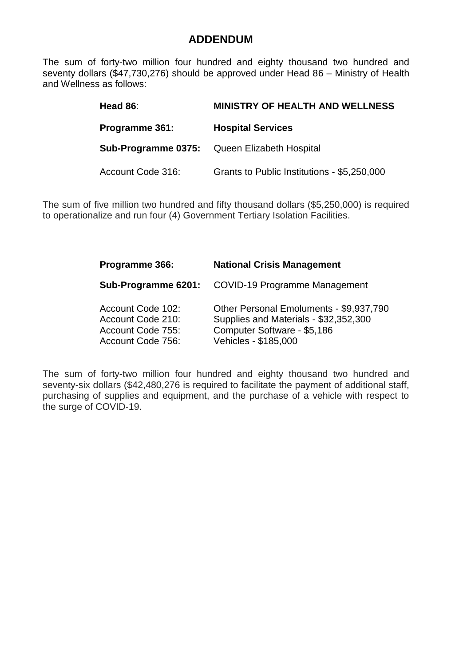The sum of forty-two million four hundred and eighty thousand two hundred and seventy dollars (\$47,730,276) should be approved under Head 86 – Ministry of Health and Wellness as follows:

| Head $86:$            | <b>MINISTRY OF HEALTH AND WELLNESS</b>       |
|-----------------------|----------------------------------------------|
| <b>Programme 361:</b> | <b>Hospital Services</b>                     |
|                       | Sub-Programme 0375: Queen Elizabeth Hospital |
| Account Code 316:     | Grants to Public Institutions - \$5,250,000  |

The sum of five million two hundred and fifty thousand dollars (\$5,250,000) is required to operationalize and run four (4) Government Tertiary Isolation Facilities.

| Programme 366:                                                                   | <b>National Crisis Management</b>                                                                                                       |
|----------------------------------------------------------------------------------|-----------------------------------------------------------------------------------------------------------------------------------------|
|                                                                                  | Sub-Programme 6201: COVID-19 Programme Management                                                                                       |
| Account Code 102:<br>Account Code 210:<br>Account Code 755:<br>Account Code 756: | Other Personal Emoluments - \$9,937,790<br>Supplies and Materials - \$32,352,300<br>Computer Software - \$5,186<br>Vehicles - \$185,000 |

The sum of forty-two million four hundred and eighty thousand two hundred and seventy-six dollars (\$42,480,276 is required to facilitate the payment of additional staff, purchasing of supplies and equipment, and the purchase of a vehicle with respect to the surge of COVID-19.